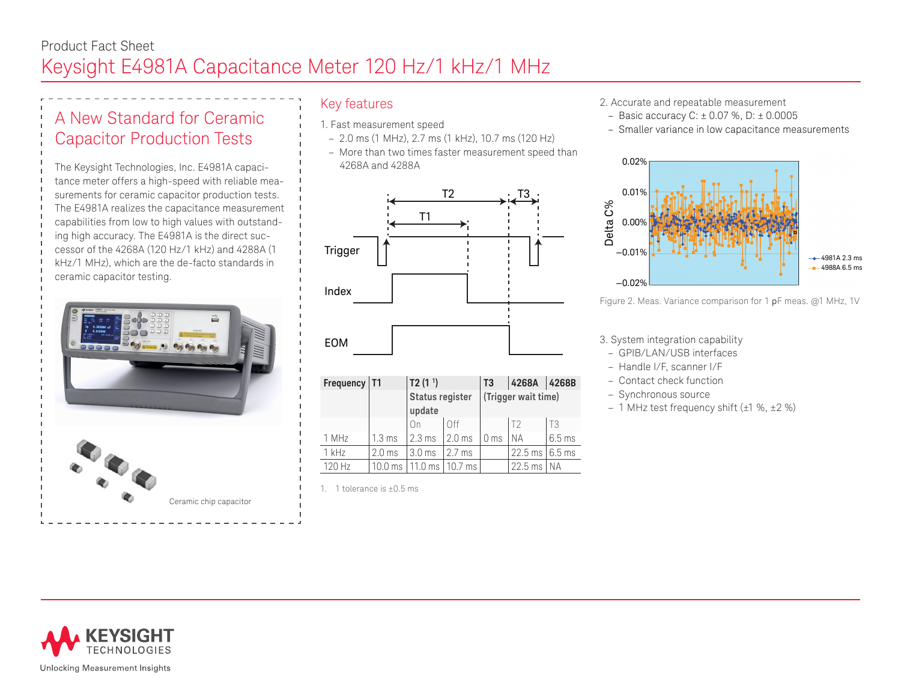# A New Standard for Ceramic Capacitor Production Tests

The Keysight Technologies, Inc. E4981A capacitance meter offers a high-speed with reliable measurements for ceramic capacitor production tests. The E4981A realizes the capacitance measurement capabilities from low to high values with outstanding high accuracy. The E4981A is the direct successor of the 4268A (120 Hz/1 kHz) and 4288A (1 kHz/1 MHz), which are the de-facto standards in ceramic capacitor testing.



# Key features

- 1. Fast measurement speed
	- 2.0 ms (1 MHz), 2.7 ms (1 kHz), 10.7 ms (120 Hz)
	- More than two times faster measurement speed than 4268A and 4288A



| Frequency   T1 |                   | T2 $(11)$                        |                   | T3                  | 4268A          | 4268B            |
|----------------|-------------------|----------------------------------|-------------------|---------------------|----------------|------------------|
|                |                   | <b>Status register</b><br>update |                   | (Trigger wait time) |                |                  |
|                |                   | n                                |                   |                     | T <sup>2</sup> | Т3               |
| 1 MHz          | $1.3 \text{ ms}$  | $2.3 \text{ ms}$                 | $2.0 \text{ ms}$  | $10$ ms             | I NA           | $6.5 \text{ ms}$ |
| 1 kHz          | 2.0 <sub>ms</sub> | 3.0 <sub>ms</sub>                | $2.7$ ms          |                     | $22.5$ ms      | $6.5$ ms         |
| 120 Hz         | 10.0 ms           | $11.0 \text{ ms}$                | $10.7 \text{ ms}$ |                     | $22.5$ ms      | ΝA               |

1 1 tolerance is  $+0.5$  ms

- 2. Accurate and repeatable measurement
- Basic accuracy C:  $\pm$  0.07 %, D:  $\pm$  0.0005
- Smaller variance in low capacitance measurements



Figure 2. Meas. Variance comparison for 1 ρF meas. @1 MHz, 1V

3. System integration capability

- GPIB/LAN/USB interfaces
- Handle I/F, scanner I/F
- Contact check function
- Synchronous source
- 1 MHz test frequency shift (±1 %, ±2 %)